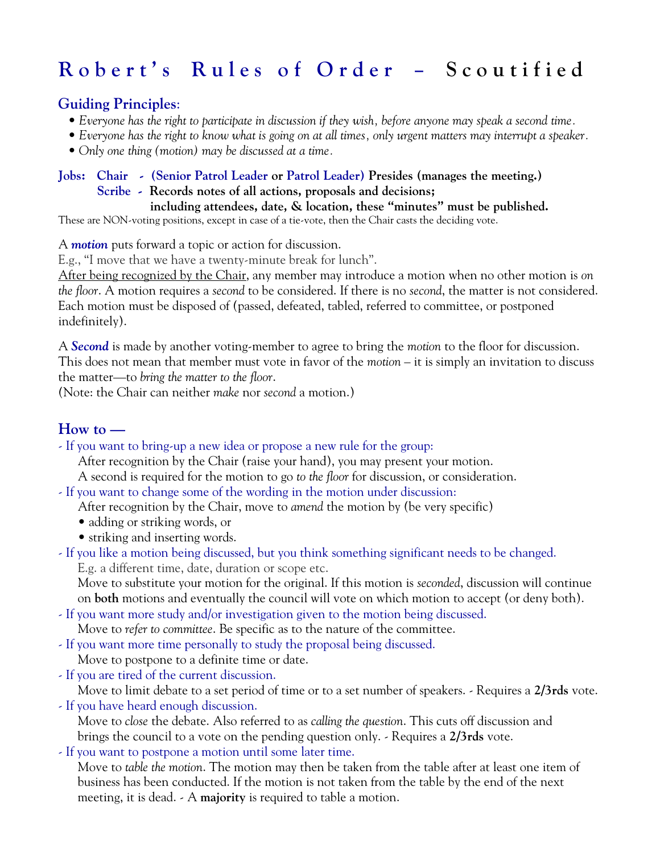# Robert's Rules of Order - Scoutified

## **Guiding Principles**:

- *Everyone has the right to participate in discussion if they wish, before anyone may speak a second time.*
- *Everyone has the right to know what is going on at all times, only urgent matters may interrupt a speaker.*
- *Only one thing (motion) may be discussed at a time.*

### **Jobs: Chair - (Senior Patrol Leader or Patrol Leader) Presides (manages the meeting.)**

#### **Scribe - Records notes of all actions, proposals and decisions;**

 **including attendees, date, & location, these "minutes" must be published.** These are NON-voting positions, except in case of a tie-vote, then the Chair casts the deciding vote.

A *motion* puts forward a topic or action for discussion.

E.g., "I move that we have a twenty-minute break for lunch".

After being recognized by the Chair, any member may introduce a motion when no other motion is *on the floor*. A motion requires a *second* to be considered. If there is no *second*, the matter is not considered. Each motion must be disposed of (passed, defeated, tabled, referred to committee, or postponed indefinitely).

A *Second* is made by another voting-member to agree to bring the *motion* to the floor for discussion. This does not mean that member must vote in favor of the *motion* – it is simply an invitation to discuss the matter—to *bring the matter to the floor*.

(Note: the Chair can neither *make* nor *second* a motion.)

# **How to —**

- If you want to bring-up a new idea or propose a new rule for the group:

After recognition by the Chair (raise your hand), you may present your motion.

A second is required for the motion to go *to the floor* for discussion, or consideration.

- If you want to change some of the wording in the motion under discussion:

After recognition by the Chair, move to *amend* the motion by (be very specific)

- adding or striking words, or
- striking and inserting words.
- If you like a motion being discussed, but you think something significant needs to be changed. E.g. a different time, date, duration or scope etc.

Move to substitute your motion for the original. If this motion is *seconded*, discussion will continue on **both** motions and eventually the council will vote on which motion to accept (or deny both).

- If you want more study and/or investigation given to the motion being discussed.

Move to *refer to committee*. Be specific as to the nature of the committee.

- If you want more time personally to study the proposal being discussed.

Move to postpone to a definite time or date.

- If you are tired of the current discussion.

Move to limit debate to a set period of time or to a set number of speakers. - Requires a **2/3rds** vote.

- If you have heard enough discussion.

Move to *close* the debate. Also referred to as *calling the question*. This cuts off discussion and brings the council to a vote on the pending question only. - Requires a **2/3rds** vote.

- If you want to postpone a motion until some later time.

Move to *table the motion*. The motion may then be taken from the table after at least one item of business has been conducted. If the motion is not taken from the table by the end of the next meeting, it is dead. - A **majority** is required to table a motion.